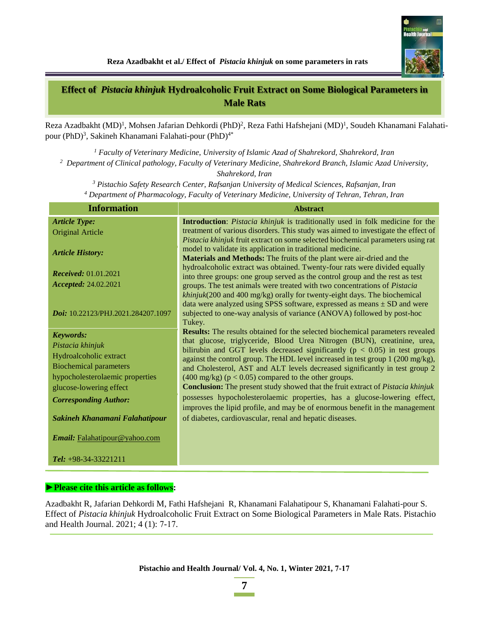

**Effect of** *Pistacia khinjuk* **Hydroalcoholic Fruit Extract on Some Biological Parameters in Male Rats**

Reza Azadbakht (MD)<sup>1</sup>, Mohsen Jafarian Dehkordi (PhD)<sup>2</sup>, Reza Fathi Hafshejani (MD)<sup>1</sup>, Soudeh Khanamani Falahatipour (PhD) 3 , Sakineh Khanamani Falahati-pour (PhD) 4\*

*<sup>1</sup> Faculty of Veterinary Medicine, University of Islamic Azad of Shahrekord, Shahrekord, Iran <sup>2</sup> Department of Clinical pathology, Faculty of Veterinary Medicine, Shahrekord Branch, Islamic Azad University,* 

*Shahrekord, Iran*

*<sup>3</sup> Pistachio Safety Research Center, Rafsanjan University of Medical Sciences, Rafsanjan, Iran*

*<sup>4</sup> Department of Pharmacology, Faculty of Veterinary Medicine, University of Tehran, Tehran, Iran*

| <b>Information</b>                 | <b>Abstract</b>                                                                                                                                                                                                                |  |  |
|------------------------------------|--------------------------------------------------------------------------------------------------------------------------------------------------------------------------------------------------------------------------------|--|--|
| <b>Article Type:</b>               | Introduction: Pistacia khinjuk is traditionally used in folk medicine for the                                                                                                                                                  |  |  |
| <b>Original Article</b>            | treatment of various disorders. This study was aimed to investigate the effect of                                                                                                                                              |  |  |
| <b>Article History:</b>            | Pistacia khinjuk fruit extract on some selected biochemical parameters using rat<br>model to validate its application in traditional medicine.<br><b>Materials and Methods:</b> The fruits of the plant were air-dried and the |  |  |
| <b>Received:</b> 01.01.2021        | hydroalcoholic extract was obtained. Twenty-four rats were divided equally                                                                                                                                                     |  |  |
| Accepted: 24.02.2021               | into three groups: one group served as the control group and the rest as test<br>groups. The test animals were treated with two concentrations of Pistacia                                                                     |  |  |
|                                    | khinjuk(200 and 400 mg/kg) orally for twenty-eight days. The biochemical                                                                                                                                                       |  |  |
| Doi: 10.22123/PHJ.2021.284207.1097 | data were analyzed using SPSS software, expressed as means $\pm$ SD and were<br>subjected to one-way analysis of variance (ANOVA) followed by post-hoc<br>Tukey.                                                               |  |  |
| Keywords:                          | Results: The results obtained for the selected biochemical parameters revealed                                                                                                                                                 |  |  |
| Pistacia khinjuk                   | that glucose, triglyceride, Blood Urea Nitrogen (BUN), creatinine, urea,                                                                                                                                                       |  |  |
| Hydroalcoholic extract             | bilirubin and GGT levels decreased significantly ( $p < 0.05$ ) in test groups<br>against the control group. The HDL level increased in test group 1 (200 mg/kg),                                                              |  |  |
| <b>Biochemical parameters</b>      | and Cholesterol, AST and ALT levels decreased significantly in test group 2                                                                                                                                                    |  |  |
| hypocholesterolaemic properties    | $(400 \text{ mg/kg})$ ( $p < 0.05$ ) compared to the other groups.                                                                                                                                                             |  |  |
| glucose-lowering effect            | <b>Conclusion:</b> The present study showed that the fruit extract of <i>Pistacia khinjuk</i>                                                                                                                                  |  |  |
| <b>Corresponding Author:</b>       | possesses hypocholesterolaemic properties, has a glucose-lowering effect,<br>improves the lipid profile, and may be of enormous benefit in the management                                                                      |  |  |
| Sakineh Khanamani Falahatipour     | of diabetes, cardiovascular, renal and hepatic diseases.                                                                                                                                                                       |  |  |
| Email: Falahatipour@yahoo.com      |                                                                                                                                                                                                                                |  |  |
| <b>Tel:</b> $+98-34-33221211$      |                                                                                                                                                                                                                                |  |  |

### **►Please cite this article as follows:**

Azadbakht R, Jafarian Dehkordi M, Fathi Hafshejani R, Khanamani Falahatipour S, Khanamani Falahati-pour S. Effect of *Pistacia khinjuk* Hydroalcoholic Fruit Extract on Some Biological Parameters in Male Rats. Pistachio and Health Journal. 2021; 4 (1): 7-17.

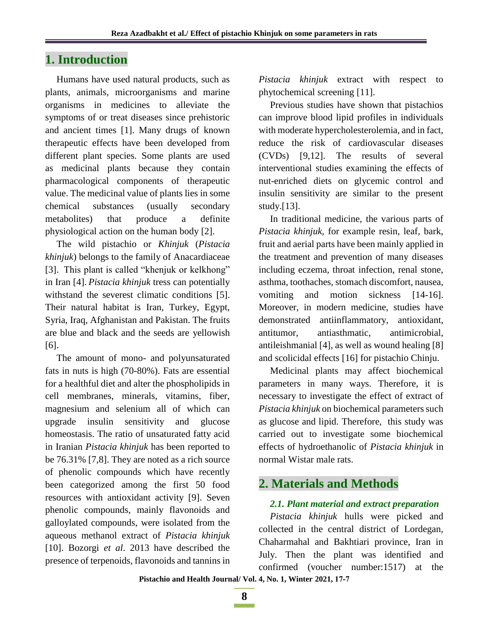## **1. Introduction**

Humans have used natural products, such as plants, animals, microorganisms and marine organisms in medicines to alleviate the symptoms of or treat diseases since prehistoric and ancient times [1]. Many drugs of known therapeutic effects have been developed from different plant species. Some plants are used as [medicinal plants](http://www.scialert.net/asci/result.php?searchin=Keywords&cat=&ascicat=ALL&Submit=Search&keyword=medicinal+plant) because they contain pharmacological components of therapeutic value. The medicinal value of plants lies in some chemical substances (usually secondary metabolites) that produce a definite physiological action on the human body [2].

The wild pistachio or *Khinjuk* (*Pistacia khinjuk*) belongs to the family of Anacardiaceae [3]. This plant is called "khenjuk or kelkhong" in Iran [4]. *Pistacia khinjuk* tress can potentially withstand the severest climatic conditions [5]. Their natural habitat is Iran, Turkey, Egypt, Syria, Iraq, Afghanistan and Pakistan. The fruits are blue and black and the seeds are yellowish [6].

The amount of mono- and polyunsaturated fats in nuts is high (70-80%). Fats are essential for a healthful diet and alter the phospholipids in cell membranes, minerals, vitamins, fiber, magnesium and selenium all of which can upgrade insulin sensitivity and glucose homeostasis. The ratio of unsaturated fatty acid in Iranian *Pistacia khinjuk* has been reported to be 76.31% [7,8]. They are noted as a rich source of phenolic compounds which have recently been categorized among the first 50 food resources with antioxidant activity [9]. Seven phenolic compounds, mainly flavonoids and galloylated compounds, were isolated from the aqueous methanol extract of *Pistacia khinjuk*  [10]. Bozorgi *et al*. 2013 have described the presence of terpenoids, flavonoids and tannins in *Pistacia khinjuk* extract with respect to phytochemical screening [11].

Previous studies have shown that pistachios can improve blood lipid profiles in individuals with moderate hypercholesterolemia, and in fact, reduce the risk of cardiovascular diseases (CVDs) [9,12]. The results of several interventional studies examining the effects of nut-enriched diets on glycemic control and insulin sensitivity are similar to the present study.[13].

In traditional medicine, the various parts of *Pistacia khinjuk,* for example resin, leaf, bark, fruit and aerial parts have been mainly applied in the treatment and prevention of many diseases including eczema, throat infection, renal stone, asthma, toothaches, stomach discomfort, nausea, vomiting and motion sickness [14-16]. Moreover, in modern medicine, studies have demonstrated antiinflammatory, antioxidant, antitumor, antiasthmatic, antimicrobial, antileishmanial [4], as well as wound healing [8] and scolicidal effects [16] for pistachio Chinju.

Medicinal plants may affect biochemical parameters in many ways. Therefore, it is necessary to investigate the effect of extract of *Pistacia khinjuk* on biochemical parameters such as glucose and lipid. Therefore, this study was carried out to investigate some biochemical effects of hydroethanolic of *Pistacia khinjuk* in normal Wistar male rats.

# **2. Materials and Methods**

### *2.1. Plant material and extract preparation*

*Pistacia khinjuk* hulls were picked and collected in the central district of Lordegan, Chaharmahal and Bakhtiari province, Iran in July. Then the plant was identified and confirmed (voucher number:1517) at the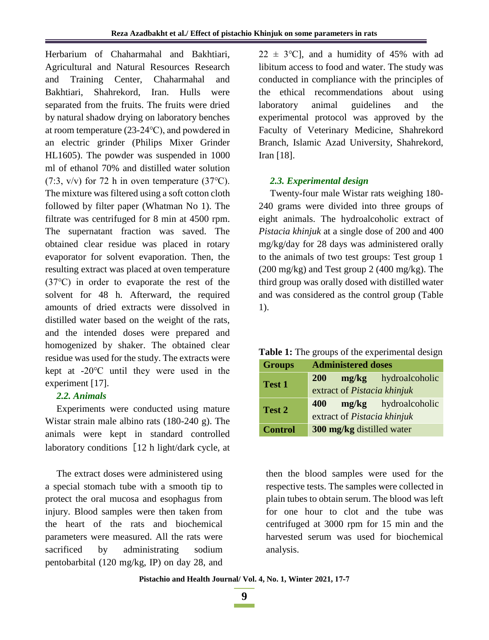Herbarium of Chaharmahal and Bakhtiari, Agricultural and Natural Resources Research and Training Center, Chaharmahal and Bakhtiari, Shahrekord, Iran. Hulls were separated from the fruits. The fruits were dried by natural shadow drying on laboratory benches at room temperature (23-24℃), and powdered in an electric grinder (Philips Mixer Grinder HL1605). The powder was suspended in 1000 ml of ethanol 70% and distilled water solution (7:3, v/v) for 72 h in oven temperature (37℃). The mixture was filtered using a soft cotton cloth followed by filter paper (Whatman No 1). The filtrate was centrifuged for 8 min at 4500 rpm. The supernatant fraction was saved. The obtained clear residue was placed in rotary evaporator for solvent evaporation. Then, the resulting extract was placed at oven temperature (37℃) in order to evaporate the rest of the solvent for 48 h. Afterward, the required amounts of dried extracts were dissolved in distilled water based on the weight of the rats, and the intended doses were prepared and homogenized by shaker. The obtained clear residue was used for the study. The extracts were kept at -20℃ until they were used in the experiment [17].

### *2.2. Animals*

Experiments were conducted using mature Wistar strain male albino rats (180-240 g). The animals were kept in standard controlled laboratory conditions [12 h light/dark cycle, at

The extract doses were administered using a special stomach tube with a smooth tip to protect the oral mucosa and esophagus from injury. Blood samples were then taken from the heart of the rats and biochemical parameters were measured. All the rats were sacrificed by administrating sodium pentobarbital (120 mg/kg, IP) on day 28, and  $22 \pm 3$ °C], and a humidity of 45% with ad libitum access to food and water. The study was conducted in compliance with the principles of the ethical recommendations about using laboratory animal guidelines and the experimental protocol was approved by the Faculty of Veterinary Medicine, Shahrekord Branch, Islamic Azad University, Shahrekord, Iran [18].

### *2.3. Experimental design*

Twenty-four male Wistar rats weighing 180- 240 grams were divided into three groups of eight animals. The hydroalcoholic extract of *Pistacia khinjuk* at a single dose of 200 and 400 mg/kg/day for 28 days was administered orally to the animals of two test groups: Test group 1 (200 mg/kg) and Test group 2 (400 mg/kg). The third group was orally dosed with distilled water and was considered as the control group (Table 1).

**Table 1:** The groups of the experimental design

| <b>Groups</b>  | <b>Administered doses</b>        |  |                             |  |
|----------------|----------------------------------|--|-----------------------------|--|
| <b>Test 1</b>  | <b>200</b>                       |  | <b>mg/kg</b> hydroalcoholic |  |
|                | extract of Pistacia khinjuk      |  |                             |  |
| Test 2         | 400                              |  | mg/kg hydroalcoholic        |  |
|                | extract of Pistacia khinjuk      |  |                             |  |
| <b>Control</b> | <b>300 mg/kg</b> distilled water |  |                             |  |

then the blood samples were used for the respective tests. The samples were collected in plain tubes to obtain serum. The blood was left for one hour to clot and the tube was centrifuged at 3000 rpm for 15 min and the harvested serum was used for biochemical analysis.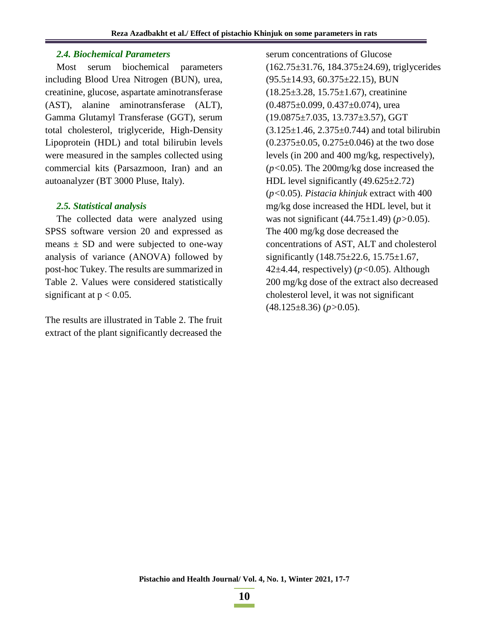### *2.4. Biochemical Parameters*

Most serum biochemical parameters including Blood Urea Nitrogen (BUN), urea, creatinine, glucose, aspartate aminotransferase (AST), alanine aminotransferase (ALT), Gamma Glutamyl Transferase (GGT), serum total cholesterol, triglyceride, High-Density Lipoprotein (HDL) and total bilirubin levels were measured in the samples collected using commercial kits (Parsazmoon, Iran) and an autoanalyzer (BT 3000 Pluse, Italy).

### *2.5. Statistical analysis*

The collected data were analyzed using SPSS software version 20 and expressed as means  $\pm$  SD and were subjected to one-way analysis of variance (ANOVA) followed by post-hoc Tukey. The results are summarized in Table 2. Values were considered statistically significant at  $p < 0.05$ .

The results are illustrated in Table 2. The fruit extract of the plant significantly decreased the

serum concentrations of Glucose (162.75±31.76, 184.375±24.69), triglycerides  $(95.5 \pm 14.93, 60.375 \pm 22.15)$ , BUN  $(18.25\pm3.28, 15.75\pm1.67)$ , creatinine  $(0.4875 \pm 0.099, 0.437 \pm 0.074)$ , urea (19.0875±7.035, 13.737±3.57), GGT  $(3.125 \pm 1.46, 2.375 \pm 0.744)$  and total bilirubin  $(0.2375\pm0.05, 0.275\pm0.046)$  at the two dose levels (in 200 and 400 mg/kg, respectively), (*p<*0.05). The 200mg/kg dose increased the HDL level significantly  $(49.625 \pm 2.72)$ (*p<*0.05). *Pistacia khinjuk* extract with 400 mg/kg dose increased the HDL level, but it was not significant (44.75±1.49) (*p>*0.05). The 400 mg/kg dose decreased the concentrations of AST, ALT and cholesterol significantly (148.75±22.6, 15.75±1.67, 42±4.44, respectively) (*p<*0.05). Although 200 mg/kg dose of the extract also decreased cholesterol level, it was not significant (48.125±8.36) (*p>*0.05).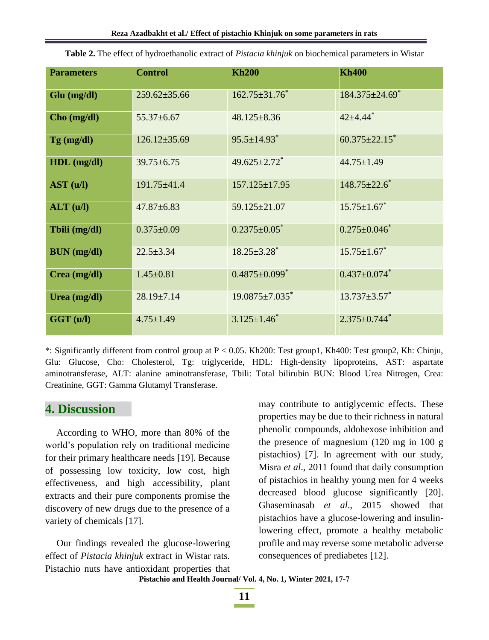| <b>Parameters</b>  | <b>Control</b>     | <b>Kh200</b>                    | <b>Kh400</b>                     |
|--------------------|--------------------|---------------------------------|----------------------------------|
| Glu (mg/dl)        | $259.62 \pm 35.66$ | $162.75 \pm 31.76$ *            | $184.375 \pm 24.69$ <sup>*</sup> |
| Cho (mg/dl)        | $55.37 \pm 6.67$   | $48.125 \pm 8.36$               | $42 + 4.44$ <sup>*</sup>         |
| $Tg$ (mg/dl)       | $126.12 \pm 35.69$ | $95.5 \pm 14.93$ <sup>*</sup>   | $60.375 \pm 22.15$ <sup>*</sup>  |
| $HDL$ (mg/dl)      | $39.75 \pm 6.75$   | $49.625 \pm 2.72$ <sup>*</sup>  | $44.75 \pm 1.49$                 |
| AST (u/l)          | 191.75±41.4        | $157.125 \pm 17.95$             | $148.75 \pm 22.6^*$              |
| ALT (u/l)          | $47.87 \pm 6.83$   | 59.125±21.07                    | $15.75 \pm 1.67$ <sup>*</sup>    |
| Tbili (mg/dl)      | $0.375 \pm 0.09$   | $0.2375 \pm 0.05$ <sup>*</sup>  | $0.275 \pm 0.046$                |
| <b>BUN</b> (mg/dl) | $22.5 \pm 3.34$    | $18.25 \pm 3.28$ <sup>*</sup>   | $15.75 \pm 1.67$ *               |
| Crea (mg/dl)       | $1.45 \pm 0.81$    | $0.4875 \pm 0.099$ <sup>*</sup> | $0.437 \pm 0.074$ *              |
| Urea (mg/dl)       | $28.19 \pm 7.14$   | $19.0875 \pm 7.035$ *           | $13.737 \pm 3.57$ *              |
| GGT (u/l)          | $4.75 \pm 1.49$    | $3.125 \pm 1.46^*$              | $2.375 \pm 0.744$ <sup>*</sup>   |

**Table 2.** The effect of hydroethanolic extract of *Pistacia khinjuk* on biochemical parameters in Wistar

\*: Significantly different from control group at P < 0.05. Kh200: Test group1, Kh400: Test group2, Kh: Chinju, Glu: Glucose, Cho: Cholesterol, Tg: triglyceride, HDL: High-density lipoproteins, AST: aspartate aminotransferase, ALT: alanine aminotransferase, Tbili: Total bilirubin BUN: Blood Urea Nitrogen, Crea: Creatinine, GGT: Gamma Glutamyl Transferase.

## **4. Discussion**

According to WHO, more than 80% of the world's population rely on traditional medicine for their primary healthcare needs [19]. Because of possessing low toxicity, low cost, high effectiveness, and high accessibility, plant extracts and their pure components promise the discovery of new drugs due to the presence of a variety of chemicals [17].

Our findings revealed the glucose-lowering effect of *Pistacia khinjuk* extract in Wistar rats. Pistachio nuts have antioxidant properties that may contribute to antiglycemic effects. These properties may be due to their richness in natural phenolic compounds, aldohexose inhibition and the presence of magnesium (120 mg in 100 g pistachios) [7]. In agreement with our study, Misra *et al*., 2011 found that daily consumption of pistachios in healthy young men for 4 weeks decreased blood glucose significantly [20]. Ghaseminasab *et al*., 2015 showed that pistachios have a glucose-lowering and insulinlowering effect, promote a healthy metabolic profile and may reverse some metabolic adverse consequences of prediabetes [12].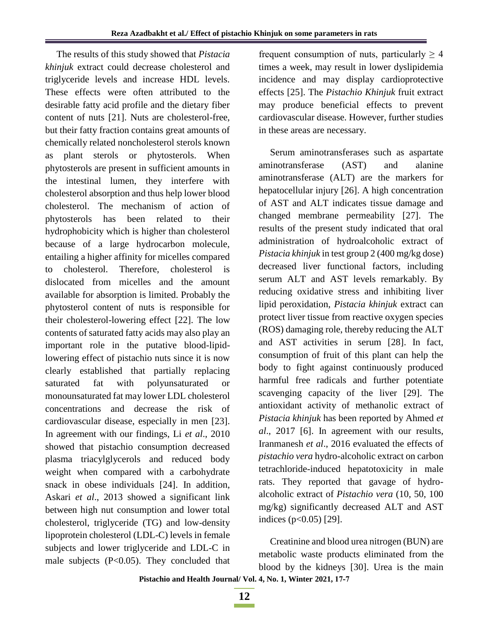The results of this study showed that *Pistacia khinjuk* extract could decrease cholesterol and triglyceride levels and increase HDL levels. These effects were often attributed to the desirable fatty acid profile and the dietary fiber content of nuts [21]. Nuts are cholesterol-free, but their fatty fraction contains great amounts of chemically related noncholesterol sterols known as plant sterols or phytosterols. When phytosterols are present in sufficient amounts in the intestinal lumen, they interfere with cholesterol absorption and thus help lower blood cholesterol. The mechanism of action of phytosterols has been related to their hydrophobicity which is higher than cholesterol because of a large hydrocarbon molecule, entailing a higher affinity for micelles compared to cholesterol. Therefore, cholesterol is dislocated from micelles and the amount available for absorption is limited. Probably the phytosterol content of nuts is responsible for their cholesterol-lowering effect [22]. The low contents of saturated fatty acids may also play an important role in the putative blood-lipidlowering effect of pistachio nuts since it is now clearly established that partially replacing saturated fat with polyunsaturated or monounsaturated fat may lower LDL cholesterol concentrations and decrease the risk of cardiovascular disease, especially in men [23]. In agreement with our findings, Li *et al*., 2010 showed that pistachio consumption decreased plasma triacylglycerols and reduced body weight when compared with a carbohydrate snack in obese individuals [24]. In addition, Askari *et al*., 2013 showed a significant link between high nut consumption and lower total cholesterol, triglyceride (TG) and low-density lipoprotein cholesterol (LDL-C) levels in female subjects and lower triglyceride and LDL-C in male subjects  $(P<0.05)$ . They concluded that

frequent consumption of nuts, particularly  $\geq 4$ times a week, may result in lower dyslipidemia incidence and may display cardioprotective effects [25]. The *Pistachio Khinjuk* fruit extract may produce beneficial effects to prevent cardiovascular disease. However, further studies in these areas are necessary.

Serum aminotransferases such as aspartate aminotransferase (AST) and alanine aminotransferase (ALT) are the markers for hepatocellular injury [26]. A high concentration of AST and ALT indicates tissue damage and changed membrane permeability [27]. The results of the present study indicated that oral administration of hydroalcoholic extract of *Pistacia khinjuk* in test group 2 (400 mg/kg dose) decreased liver functional factors, including serum ALT and AST levels remarkably. By reducing oxidative stress and inhibiting liver lipid peroxidation, *Pistacia khinjuk* extract can protect liver tissue from reactive oxygen species (ROS) damaging role, thereby reducing the ALT and AST activities in serum [28]. In fact, consumption of fruit of this plant can help the body to fight against continuously produced harmful free radicals and further potentiate scavenging capacity of the liver [29]. The antioxidant activity of methanolic extract of *Pistacia khinjuk* has been reported by Ahmed *et al*., 2017 [6]. In agreement with our results, Iranmanesh *et al*., 2016 evaluated the effects of *pistachio vera* hydro-alcoholic extract on carbon tetrachloride-induced hepatotoxicity in male rats. They reported that gavage of hydroalcoholic extract of *Pistachio vera* (10, 50, 100 mg/kg) significantly decreased ALT and AST indices (p<0.05) [29].

Creatinine and blood urea nitrogen (BUN) are metabolic waste products eliminated from the blood by the kidneys [30]. Urea is the main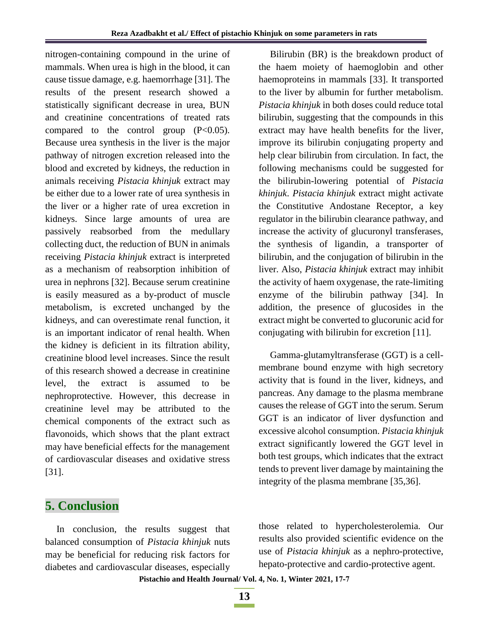nitrogen-containing compound in the urine of mammals. When urea is high in the blood, it can cause tissue damage, e.g. haemorrhage [31]. The results of the present research showed a statistically significant decrease in urea, BUN and creatinine concentrations of treated rats compared to the control group  $(P<0.05)$ . Because urea synthesis in the liver is the major pathway of nitrogen excretion released into the blood and excreted by kidneys, the reduction in animals receiving *Pistacia khinjuk* extract may be either due to a lower rate of urea synthesis in the liver or a higher rate of urea excretion in kidneys. Since large amounts of urea are passively reabsorbed from the medullary collecting duct, the reduction of BUN in animals receiving *Pistacia khinjuk* extract is interpreted as a mechanism of reabsorption inhibition of urea in nephrons [32]. Because serum creatinine is easily measured as a by-product of muscle metabolism, is excreted unchanged by the kidneys, and can overestimate renal function, it is an important indicator of renal health. When the kidney is deficient in its filtration ability, creatinine blood level increases. Since the result of this research showed a decrease in creatinine level, the extract is assumed to be nephroprotective. However, this decrease in creatinine level may be attributed to the chemical components of the extract such as flavonoids, which shows that the plant extract may have beneficial effects for the management of cardiovascular diseases and oxidative stress [31].

## Bilirubin (BR) is the breakdown product of the haem moiety of haemoglobin and other haemoproteins in mammals [33]. It transported to the liver by albumin for further metabolism. *Pistacia khinjuk* in both doses could reduce total bilirubin, suggesting that the compounds in this extract may have health benefits for the liver, improve its bilirubin conjugating property and help clear bilirubin from circulation. In fact, the following mechanisms could be suggested for the bilirubin-lowering potential of *Pistacia khinjuk*. *Pistacia khinjuk* extract might activate the Constitutive Andostane Receptor, a key regulator in the bilirubin clearance pathway, and increase the activity of glucuronyl transferases, the synthesis of ligandin, a transporter of bilirubin, and the conjugation of bilirubin in the liver. Also, *Pistacia khinjuk* extract may inhibit the activity of haem oxygenase, the rate-limiting enzyme of the bilirubin pathway [34]. In addition, the presence of glucosides in the extract might be converted to glucorunic acid for conjugating with bilirubin for excretion [11].

Gamma-glutamyltransferase (GGT) is a cellmembrane bound enzyme with high secretory activity that is found in the liver, kidneys, and pancreas. Any damage to the plasma membrane causes the release of GGT into the serum. Serum GGT is an indicator of liver dysfunction and excessive alcohol consumption. *Pistacia khinjuk*  extract significantly lowered the GGT level in both test groups, which indicates that the extract tends to prevent liver damage by maintaining the integrity of the plasma membrane [35,36].

# **5. Conclusion**

In conclusion, the results suggest that balanced consumption of *Pistacia khinjuk* nuts may be beneficial for reducing risk factors for diabetes and cardiovascular diseases, especially

those related to hypercholesterolemia. Our results also provided scientific evidence on the use of *Pistacia khinjuk* as a nephro-protective, hepato-protective and cardio-protective agent.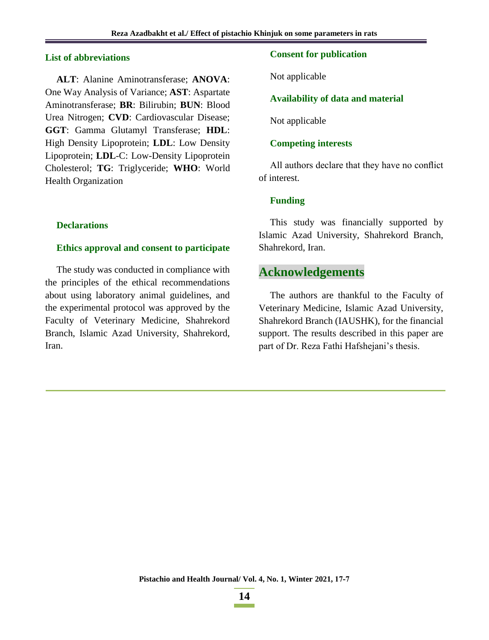### **List of abbreviations**

**ALT**: Alanine Aminotransferase; **ANOVA**: One Way Analysis of Variance; **AST**: Aspartate Aminotransferase; **BR**: Bilirubin; **BUN**: Blood Urea Nitrogen; **CVD**: Cardiovascular Disease; **GGT**: Gamma Glutamyl Transferase; **HDL**: High Density Lipoprotein; **LDL**: Low Density Lipoprotein; **LDL**-C: Low-Density Lipoprotein Cholesterol; **TG**: Triglyceride; **WHO**: World Health Organization

### **Declarations**

#### **Ethics approval and consent to participate**

The study was conducted in compliance with the principles of the ethical recommendations about using laboratory animal guidelines, and the experimental protocol was approved by the Faculty of Veterinary Medicine, Shahrekord Branch, Islamic Azad University, Shahrekord, Iran.

### **Consent for publication**

Not applicable

### **Availability of data and material**

Not applicable

### **Competing interests**

All authors declare that they have no conflict of interest.

#### **Funding**

This study was financially supported by Islamic Azad University, Shahrekord Branch, Shahrekord, Iran.

## **Acknowledgements**

The authors are thankful to the Faculty of Veterinary Medicine, Islamic Azad University, Shahrekord Branch (IAUSHK), for the financial support. The results described in this paper are part of Dr. Reza Fathi Hafshejani's thesis.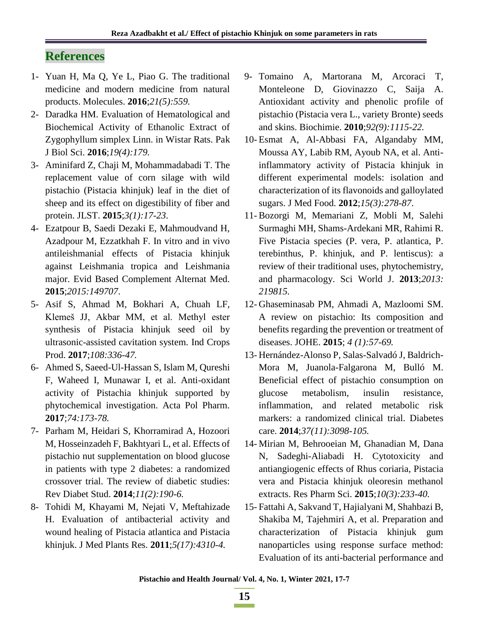# **References**

- 1- Yuan H, Ma Q, Ye L, Piao G. The traditional medicine and modern medicine from natural products. Molecules. **2016**;*21(5):559.*
- 2- Daradka HM. Evaluation of Hematological and Biochemical Activity of Ethanolic Extract of Zygophyllum simplex Linn. in Wistar Rats. Pak J Biol Sci. **2016**;*19(4):179.*
- 3- Aminifard Z, Chaji M, Mohammadabadi T. The replacement value of corn silage with wild pistachio (Pistacia khinjuk) leaf in the diet of sheep and its effect on digestibility of fiber and protein. JLST. **2015**;*3(1):17-23*.
- 4- Ezatpour B, Saedi Dezaki E, Mahmoudvand H, Azadpour M, Ezzatkhah F. In vitro and in vivo antileishmanial effects of Pistacia khinjuk against Leishmania tropica and Leishmania major. Evid Based Complement Alternat Med. **2015**;*2015:149707*.
- 5- Asif S, Ahmad M, Bokhari A, Chuah LF, Klemeš JJ, Akbar MM, et al. Methyl ester synthesis of Pistacia khinjuk seed oil by ultrasonic-assisted cavitation system. Ind Crops Prod. **2017**;*108:336-47.*
- 6- Ahmed S, Saeed-Ul-Hassan S, Islam M, Qureshi F, Waheed I, Munawar I, et al. Anti-oxidant activity of Pistachia khinjuk supported by phytochemical investigation. Acta Pol Pharm. **2017**;*74:173-78.*
- 7- Parham M, Heidari S, Khorramirad A, Hozoori M, Hosseinzadeh F, Bakhtyari L, et al. Effects of pistachio nut supplementation on blood glucose in patients with type 2 diabetes: a randomized crossover trial. The review of diabetic studies: Rev Diabet Stud. **2014**;*11(2):190-6.*
- 8- Tohidi M, Khayami M, Nejati V, Meftahizade H. Evaluation of antibacterial activity and wound healing of Pistacia atlantica and Pistacia khinjuk. J Med Plants Res. **2011**;*5(17):4310-4.*
- 9- Tomaino A, Martorana M, Arcoraci T, Monteleone D, Giovinazzo C, Saija A. Antioxidant activity and phenolic profile of pistachio (Pistacia vera L., variety Bronte) seeds and skins. Biochimie. **2010**;*92(9):1115-22.*
- 10- Esmat A, Al-Abbasi FA, Algandaby MM, Moussa AY, Labib RM, Ayoub NA, et al. Antiinflammatory activity of Pistacia khinjuk in different experimental models: isolation and characterization of its flavonoids and galloylated sugars. J Med Food. **2012**;*15(3):278-87*.
- 11- Bozorgi M, Memariani Z, Mobli M, Salehi Surmaghi MH, Shams-Ardekani MR, Rahimi R. Five Pistacia species (P. vera, P. atlantica, P. terebinthus, P. khinjuk, and P. lentiscus): a review of their traditional uses, phytochemistry, and pharmacology. Sci World J. **2013**;*2013: 219815.*
- 12- Ghaseminasab PM, Ahmadi A, Mazloomi SM. A review on pistachio: Its composition and benefits regarding the prevention or treatment of diseases. JOHE. **2015**; *4 (1):57-69.*
- 13- Hernández-Alonso P, Salas-Salvadó J, Baldrich-Mora M, Juanola-Falgarona M, Bulló M. Beneficial effect of pistachio consumption on glucose metabolism, insulin resistance, inflammation, and related metabolic risk markers: a randomized clinical trial. Diabetes care. **2014**;*37(11):3098-105.*
- 14- Mirian M, Behrooeian M, Ghanadian M, Dana N, Sadeghi-Aliabadi H. Cytotoxicity and antiangiogenic effects of Rhus coriaria, Pistacia vera and Pistacia khinjuk oleoresin methanol extracts. Res Pharm Sci. **2015**;*10(3):233-40.*
- 15- Fattahi A, Sakvand T, Hajialyani M, Shahbazi B, Shakiba M, Tajehmiri A, et al. Preparation and characterization of Pistacia khinjuk gum nanoparticles using response surface method: Evaluation of its anti-bacterial performance and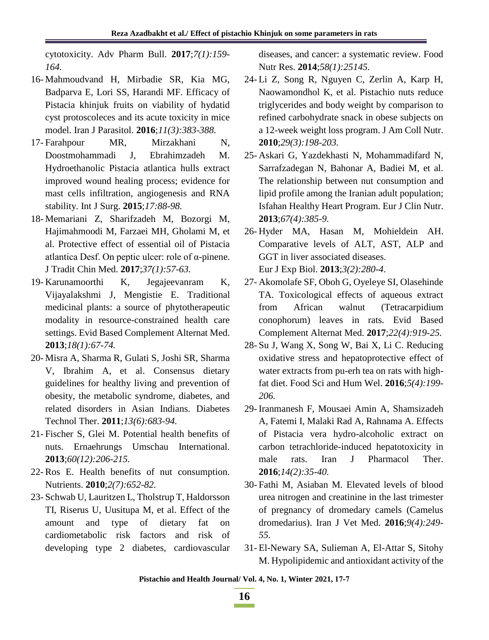cytotoxicity. Adv Pharm Bull. **2017**;*7(1):159- 164.*

- 16- Mahmoudvand H, Mirbadie SR, Kia MG, Badparva E, Lori SS, Harandi MF. Efficacy of Pistacia khinjuk fruits on viability of hydatid cyst protoscoleces and its acute toxicity in mice model. Iran J Parasitol. **2016**;*11(3):383-388.*
- 17- Farahpour MR, Mirzakhani N, Doostmohammadi J, Ebrahimzadeh M. Hydroethanolic Pistacia atlantica hulls extract improved wound healing process; evidence for mast cells infiltration, angiogenesis and RNA stability. Int J Surg. **2015**;*17:88-98.*
- 18- Memariani Z, Sharifzadeh M, Bozorgi M, Hajimahmoodi M, Farzaei MH, Gholami M, et al. Protective effect of essential oil of Pistacia atlantica Desf. On peptic ulcer: role of α-pinene. J Tradit Chin Med. **2017**;*37(1):57-63.*
- 19- Karunamoorthi K, Jegajeevanram K, Vijayalakshmi J, Mengistie E. Traditional medicinal plants: a source of phytotherapeutic modality in resource-constrained health care settings. Evid Based Complement Alternat Med. **2013**;*18(1):67-74.*
- 20- Misra A, Sharma R, Gulati S, Joshi SR, Sharma V, Ibrahim A, et al. Consensus dietary guidelines for healthy living and prevention of obesity, the metabolic syndrome, diabetes, and related disorders in Asian Indians. Diabetes Technol Ther. **2011**;*13(6):683-94.*
- 21- Fischer S, Glei M. Potential health benefits of nuts. Ernaehrungs Umschau International. **2013**;*60(12):206-215.*
- 22- Ros E. Health benefits of nut consumption. Nutrients. **2010**;*2(7):652-82.*
- 23- Schwab U, Lauritzen L, Tholstrup T, Haldorsson TI, Riserus U, Uusitupa M, et al. Effect of the amount and type of dietary fat on cardiometabolic risk factors and risk of developing type 2 diabetes, cardiovascular

diseases, and cancer: a systematic review. Food Nutr Res. **2014**;*58(1):25145.*

- 24- Li Z, Song R, Nguyen C, Zerlin A, Karp H, Naowamondhol K, et al. Pistachio nuts reduce triglycerides and body weight by comparison to refined carbohydrate snack in obese subjects on a 12-week weight loss program. J Am Coll Nutr. **2010**;*29(3):198-203.*
- 25- Askari G, Yazdekhasti N, Mohammadifard N, Sarrafzadegan N, Bahonar A, Badiei M, et al. The relationship between nut consumption and lipid profile among the Iranian adult population; Isfahan Healthy Heart Program. Eur J Clin Nutr. **2013**;*67(4):385-9.*
- 26- Hyder MA, Hasan M, Mohieldein AH. Comparative levels of ALT, AST, ALP and GGT in liver associated diseases. Eur J Exp Biol. **2013**;*3(2):280-4*.
- 27- Akomolafe SF, Oboh G, Oyeleye SI, Olasehinde TA. Toxicological effects of aqueous extract from African walnut (Tetracarpidium conophorum) leaves in rats. Evid Based Complement Alternat Med. **2017**;*22(4):919-25.*
- 28- Su J, Wang X, Song W, Bai X, Li C. Reducing oxidative stress and hepatoprotective effect of water extracts from pu-erh tea on rats with highfat diet. Food Sci and Hum Wel. **2016**;*5(4):199- 206.*
- 29- Iranmanesh F, Mousaei Amin A, Shamsizadeh A, Fatemi I, Malaki Rad A, Rahnama A. Effects of Pistacia vera hydro-alcoholic extract on carbon tetrachloride-induced hepatotoxicity in male rats. Iran J Pharmacol Ther. **2016**;*14(2):35-40.*
- 30- Fathi M, Asiaban M. Elevated levels of blood urea nitrogen and creatinine in the last trimester of pregnancy of dromedary camels (Camelus dromedarius). Iran J Vet Med. **2016**;*9(4):249- 55.*
- 31- El-Newary SA, Sulieman A, El-Attar S, Sitohy M. Hypolipidemic and antioxidant activity of the

**Pistachio and Health Journal/ Vol. 4, No. 1, Winter 2021, 77-7**